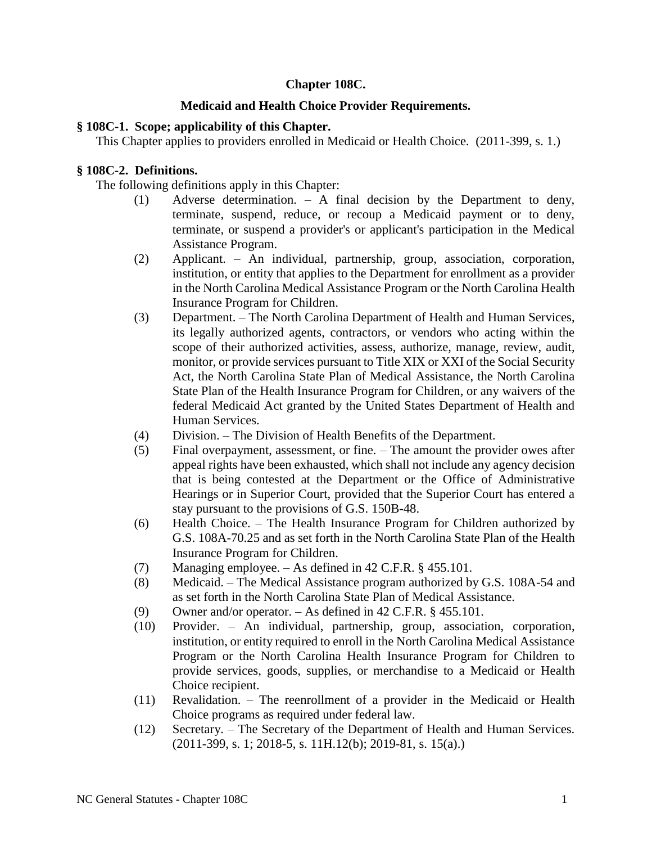# **Chapter 108C.**

## **Medicaid and Health Choice Provider Requirements.**

## **§ 108C-1. Scope; applicability of this Chapter.**

This Chapter applies to providers enrolled in Medicaid or Health Choice. (2011-399, s. 1.)

## **§ 108C-2. Definitions.**

The following definitions apply in this Chapter:

- (1) Adverse determination. A final decision by the Department to deny, terminate, suspend, reduce, or recoup a Medicaid payment or to deny, terminate, or suspend a provider's or applicant's participation in the Medical Assistance Program.
- (2) Applicant. An individual, partnership, group, association, corporation, institution, or entity that applies to the Department for enrollment as a provider in the North Carolina Medical Assistance Program or the North Carolina Health Insurance Program for Children.
- (3) Department. The North Carolina Department of Health and Human Services, its legally authorized agents, contractors, or vendors who acting within the scope of their authorized activities, assess, authorize, manage, review, audit, monitor, or provide services pursuant to Title XIX or XXI of the Social Security Act, the North Carolina State Plan of Medical Assistance, the North Carolina State Plan of the Health Insurance Program for Children, or any waivers of the federal Medicaid Act granted by the United States Department of Health and Human Services.
- (4) Division. The Division of Health Benefits of the Department.
- (5) Final overpayment, assessment, or fine. The amount the provider owes after appeal rights have been exhausted, which shall not include any agency decision that is being contested at the Department or the Office of Administrative Hearings or in Superior Court, provided that the Superior Court has entered a stay pursuant to the provisions of G.S. 150B-48.
- (6) Health Choice. The Health Insurance Program for Children authorized by G.S. 108A-70.25 and as set forth in the North Carolina State Plan of the Health Insurance Program for Children.
- (7) Managing employee. As defined in 42 C.F.R. § 455.101.
- (8) Medicaid. The Medical Assistance program authorized by G.S. 108A-54 and as set forth in the North Carolina State Plan of Medical Assistance.
- (9) Owner and/or operator. As defined in 42 C.F.R. § 455.101.
- (10) Provider. An individual, partnership, group, association, corporation, institution, or entity required to enroll in the North Carolina Medical Assistance Program or the North Carolina Health Insurance Program for Children to provide services, goods, supplies, or merchandise to a Medicaid or Health Choice recipient.
- (11) Revalidation. The reenrollment of a provider in the Medicaid or Health Choice programs as required under federal law.
- (12) Secretary. The Secretary of the Department of Health and Human Services. (2011-399, s. 1; 2018-5, s. 11H.12(b); 2019-81, s. 15(a).)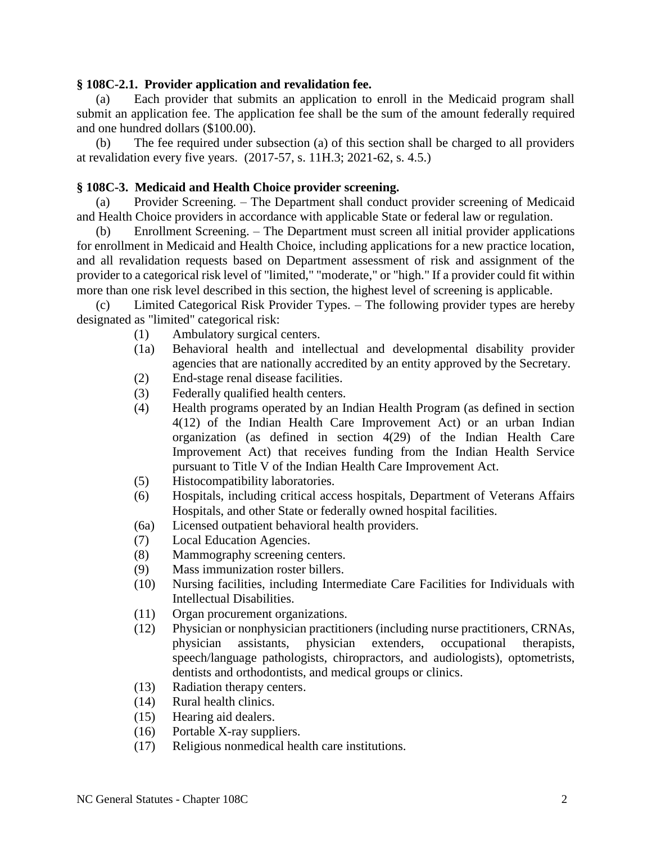#### **§ 108C-2.1. Provider application and revalidation fee.**

(a) Each provider that submits an application to enroll in the Medicaid program shall submit an application fee. The application fee shall be the sum of the amount federally required and one hundred dollars (\$100.00).

(b) The fee required under subsection (a) of this section shall be charged to all providers at revalidation every five years. (2017-57, s. 11H.3; 2021-62, s. 4.5.)

### **§ 108C-3. Medicaid and Health Choice provider screening.**

(a) Provider Screening. – The Department shall conduct provider screening of Medicaid and Health Choice providers in accordance with applicable State or federal law or regulation.

(b) Enrollment Screening. – The Department must screen all initial provider applications for enrollment in Medicaid and Health Choice, including applications for a new practice location, and all revalidation requests based on Department assessment of risk and assignment of the provider to a categorical risk level of "limited," "moderate," or "high." If a provider could fit within more than one risk level described in this section, the highest level of screening is applicable.

(c) Limited Categorical Risk Provider Types. – The following provider types are hereby designated as "limited" categorical risk:

- (1) Ambulatory surgical centers.
- (1a) Behavioral health and intellectual and developmental disability provider agencies that are nationally accredited by an entity approved by the Secretary.
- (2) End-stage renal disease facilities.
- (3) Federally qualified health centers.
- (4) Health programs operated by an Indian Health Program (as defined in section 4(12) of the Indian Health Care Improvement Act) or an urban Indian organization (as defined in section 4(29) of the Indian Health Care Improvement Act) that receives funding from the Indian Health Service pursuant to Title V of the Indian Health Care Improvement Act.
- (5) Histocompatibility laboratories.
- (6) Hospitals, including critical access hospitals, Department of Veterans Affairs Hospitals, and other State or federally owned hospital facilities.
- (6a) Licensed outpatient behavioral health providers.
- (7) Local Education Agencies.
- (8) Mammography screening centers.
- (9) Mass immunization roster billers.
- (10) Nursing facilities, including Intermediate Care Facilities for Individuals with Intellectual Disabilities.
- (11) Organ procurement organizations.
- (12) Physician or nonphysician practitioners (including nurse practitioners, CRNAs, physician assistants, physician extenders, occupational therapists, speech/language pathologists, chiropractors, and audiologists), optometrists, dentists and orthodontists, and medical groups or clinics.
- (13) Radiation therapy centers.
- (14) Rural health clinics.
- (15) Hearing aid dealers.
- (16) Portable X-ray suppliers.
- (17) Religious nonmedical health care institutions.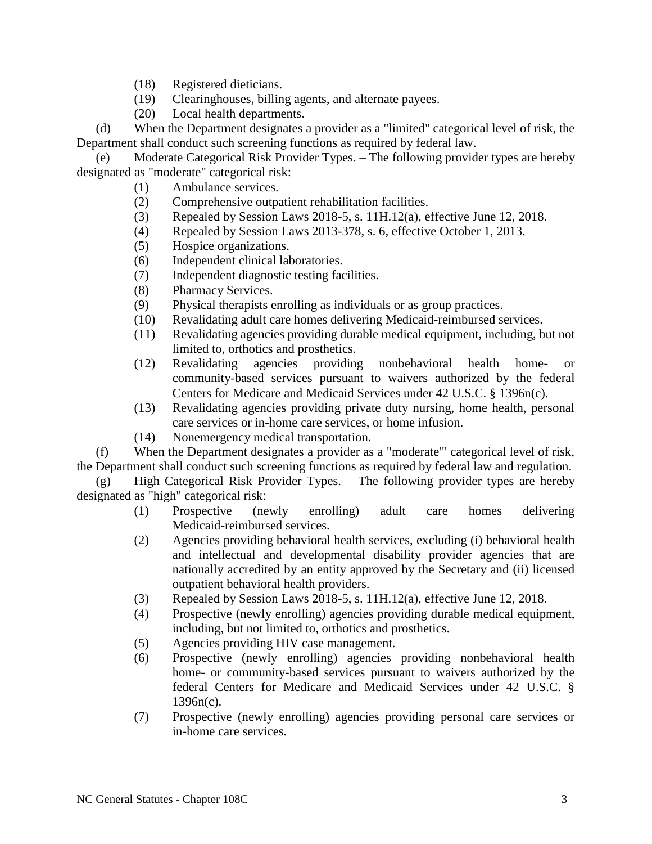- (18) Registered dieticians.
- (19) Clearinghouses, billing agents, and alternate payees.
- (20) Local health departments.

(d) When the Department designates a provider as a "limited" categorical level of risk, the Department shall conduct such screening functions as required by federal law.

(e) Moderate Categorical Risk Provider Types. – The following provider types are hereby designated as "moderate" categorical risk:

- (1) Ambulance services.
- (2) Comprehensive outpatient rehabilitation facilities.
- (3) Repealed by Session Laws 2018-5, s. 11H.12(a), effective June 12, 2018.
- (4) Repealed by Session Laws 2013-378, s. 6, effective October 1, 2013.
- (5) Hospice organizations.
- (6) Independent clinical laboratories.
- (7) Independent diagnostic testing facilities.
- (8) Pharmacy Services.
- (9) Physical therapists enrolling as individuals or as group practices.
- (10) Revalidating adult care homes delivering Medicaid-reimbursed services.
- (11) Revalidating agencies providing durable medical equipment, including, but not limited to, orthotics and prosthetics.
- (12) Revalidating agencies providing nonbehavioral health home- or community-based services pursuant to waivers authorized by the federal Centers for Medicare and Medicaid Services under 42 U.S.C. § 1396n(c).
- (13) Revalidating agencies providing private duty nursing, home health, personal care services or in-home care services, or home infusion.
- (14) Nonemergency medical transportation.

(f) When the Department designates a provider as a "moderate"' categorical level of risk, the Department shall conduct such screening functions as required by federal law and regulation.

(g) High Categorical Risk Provider Types. – The following provider types are hereby designated as "high" categorical risk:

- (1) Prospective (newly enrolling) adult care homes delivering Medicaid-reimbursed services.
- (2) Agencies providing behavioral health services, excluding (i) behavioral health and intellectual and developmental disability provider agencies that are nationally accredited by an entity approved by the Secretary and (ii) licensed outpatient behavioral health providers.
- (3) Repealed by Session Laws 2018-5, s. 11H.12(a), effective June 12, 2018.
- (4) Prospective (newly enrolling) agencies providing durable medical equipment, including, but not limited to, orthotics and prosthetics.
- (5) Agencies providing HIV case management.
- (6) Prospective (newly enrolling) agencies providing nonbehavioral health home- or community-based services pursuant to waivers authorized by the federal Centers for Medicare and Medicaid Services under 42 U.S.C. § 1396n(c).
- (7) Prospective (newly enrolling) agencies providing personal care services or in-home care services.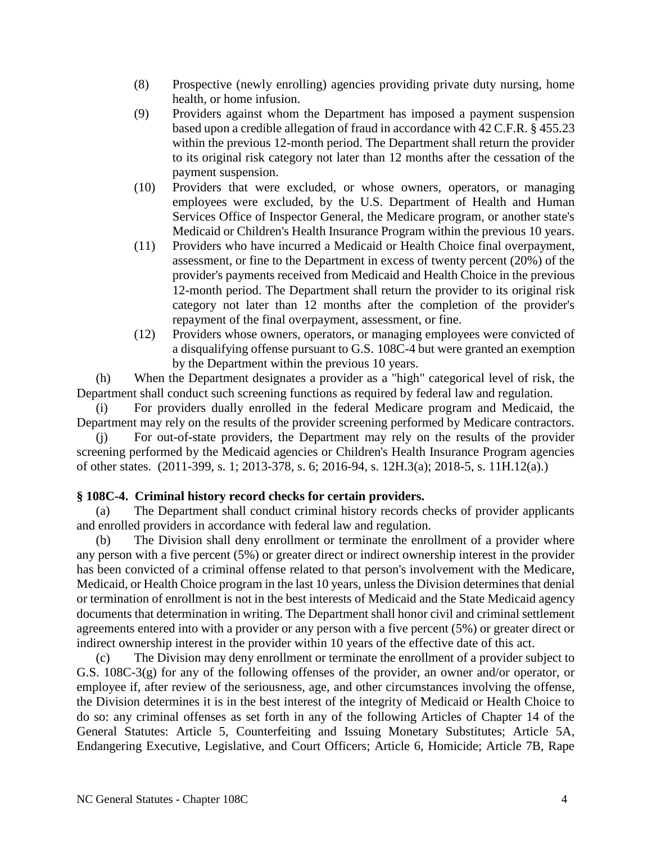- (8) Prospective (newly enrolling) agencies providing private duty nursing, home health, or home infusion.
- (9) Providers against whom the Department has imposed a payment suspension based upon a credible allegation of fraud in accordance with 42 C.F.R. § 455.23 within the previous 12-month period. The Department shall return the provider to its original risk category not later than 12 months after the cessation of the payment suspension.
- (10) Providers that were excluded, or whose owners, operators, or managing employees were excluded, by the U.S. Department of Health and Human Services Office of Inspector General, the Medicare program, or another state's Medicaid or Children's Health Insurance Program within the previous 10 years.
- (11) Providers who have incurred a Medicaid or Health Choice final overpayment, assessment, or fine to the Department in excess of twenty percent (20%) of the provider's payments received from Medicaid and Health Choice in the previous 12-month period. The Department shall return the provider to its original risk category not later than 12 months after the completion of the provider's repayment of the final overpayment, assessment, or fine.
- (12) Providers whose owners, operators, or managing employees were convicted of a disqualifying offense pursuant to G.S. 108C-4 but were granted an exemption by the Department within the previous 10 years.

(h) When the Department designates a provider as a "high" categorical level of risk, the Department shall conduct such screening functions as required by federal law and regulation.

(i) For providers dually enrolled in the federal Medicare program and Medicaid, the Department may rely on the results of the provider screening performed by Medicare contractors.

(j) For out-of-state providers, the Department may rely on the results of the provider screening performed by the Medicaid agencies or Children's Health Insurance Program agencies of other states. (2011-399, s. 1; 2013-378, s. 6; 2016-94, s. 12H.3(a); 2018-5, s. 11H.12(a).)

# **§ 108C-4. Criminal history record checks for certain providers.**

(a) The Department shall conduct criminal history records checks of provider applicants and enrolled providers in accordance with federal law and regulation.

(b) The Division shall deny enrollment or terminate the enrollment of a provider where any person with a five percent (5%) or greater direct or indirect ownership interest in the provider has been convicted of a criminal offense related to that person's involvement with the Medicare, Medicaid, or Health Choice program in the last 10 years, unless the Division determines that denial or termination of enrollment is not in the best interests of Medicaid and the State Medicaid agency documents that determination in writing. The Department shall honor civil and criminal settlement agreements entered into with a provider or any person with a five percent (5%) or greater direct or indirect ownership interest in the provider within 10 years of the effective date of this act.

(c) The Division may deny enrollment or terminate the enrollment of a provider subject to G.S. 108C-3(g) for any of the following offenses of the provider, an owner and/or operator, or employee if, after review of the seriousness, age, and other circumstances involving the offense, the Division determines it is in the best interest of the integrity of Medicaid or Health Choice to do so: any criminal offenses as set forth in any of the following Articles of Chapter 14 of the General Statutes: Article 5, Counterfeiting and Issuing Monetary Substitutes; Article 5A, Endangering Executive, Legislative, and Court Officers; Article 6, Homicide; Article 7B, Rape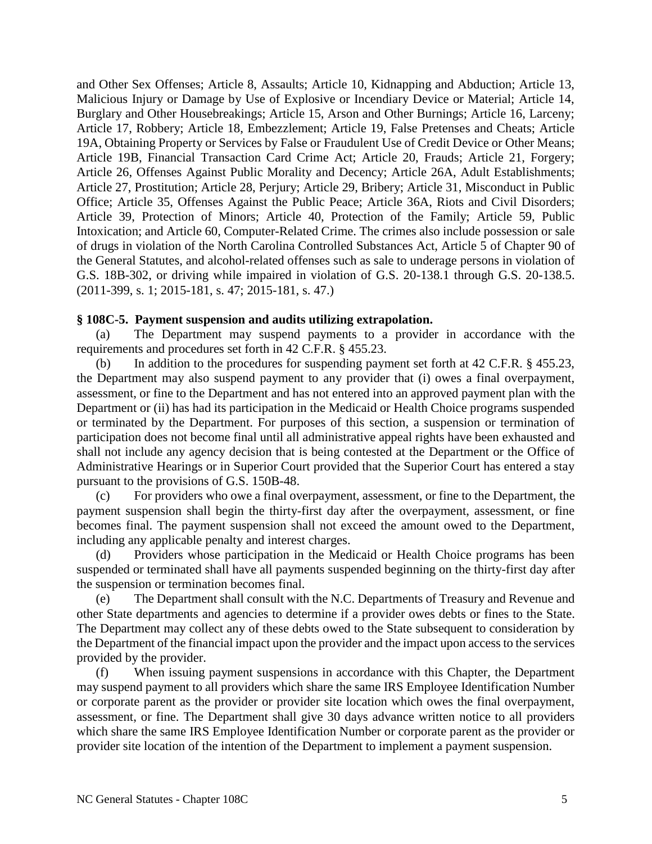and Other Sex Offenses; Article 8, Assaults; Article 10, Kidnapping and Abduction; Article 13, Malicious Injury or Damage by Use of Explosive or Incendiary Device or Material; Article 14, Burglary and Other Housebreakings; Article 15, Arson and Other Burnings; Article 16, Larceny; Article 17, Robbery; Article 18, Embezzlement; Article 19, False Pretenses and Cheats; Article 19A, Obtaining Property or Services by False or Fraudulent Use of Credit Device or Other Means; Article 19B, Financial Transaction Card Crime Act; Article 20, Frauds; Article 21, Forgery; Article 26, Offenses Against Public Morality and Decency; Article 26A, Adult Establishments; Article 27, Prostitution; Article 28, Perjury; Article 29, Bribery; Article 31, Misconduct in Public Office; Article 35, Offenses Against the Public Peace; Article 36A, Riots and Civil Disorders; Article 39, Protection of Minors; Article 40, Protection of the Family; Article 59, Public Intoxication; and Article 60, Computer-Related Crime. The crimes also include possession or sale of drugs in violation of the North Carolina Controlled Substances Act, Article 5 of Chapter 90 of the General Statutes, and alcohol-related offenses such as sale to underage persons in violation of G.S. 18B-302, or driving while impaired in violation of G.S. 20-138.1 through G.S. 20-138.5. (2011-399, s. 1; 2015-181, s. 47; 2015-181, s. 47.)

## **§ 108C-5. Payment suspension and audits utilizing extrapolation.**

(a) The Department may suspend payments to a provider in accordance with the requirements and procedures set forth in 42 C.F.R. § 455.23.

(b) In addition to the procedures for suspending payment set forth at 42 C.F.R. § 455.23, the Department may also suspend payment to any provider that (i) owes a final overpayment, assessment, or fine to the Department and has not entered into an approved payment plan with the Department or (ii) has had its participation in the Medicaid or Health Choice programs suspended or terminated by the Department. For purposes of this section, a suspension or termination of participation does not become final until all administrative appeal rights have been exhausted and shall not include any agency decision that is being contested at the Department or the Office of Administrative Hearings or in Superior Court provided that the Superior Court has entered a stay pursuant to the provisions of G.S. 150B-48.

(c) For providers who owe a final overpayment, assessment, or fine to the Department, the payment suspension shall begin the thirty-first day after the overpayment, assessment, or fine becomes final. The payment suspension shall not exceed the amount owed to the Department, including any applicable penalty and interest charges.

(d) Providers whose participation in the Medicaid or Health Choice programs has been suspended or terminated shall have all payments suspended beginning on the thirty-first day after the suspension or termination becomes final.

(e) The Department shall consult with the N.C. Departments of Treasury and Revenue and other State departments and agencies to determine if a provider owes debts or fines to the State. The Department may collect any of these debts owed to the State subsequent to consideration by the Department of the financial impact upon the provider and the impact upon access to the services provided by the provider.

(f) When issuing payment suspensions in accordance with this Chapter, the Department may suspend payment to all providers which share the same IRS Employee Identification Number or corporate parent as the provider or provider site location which owes the final overpayment, assessment, or fine. The Department shall give 30 days advance written notice to all providers which share the same IRS Employee Identification Number or corporate parent as the provider or provider site location of the intention of the Department to implement a payment suspension.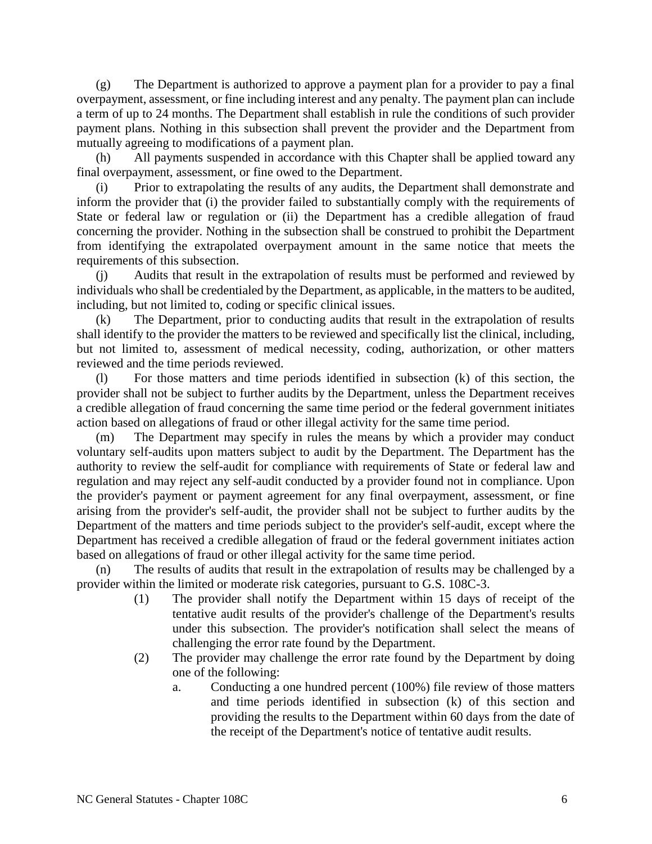(g) The Department is authorized to approve a payment plan for a provider to pay a final overpayment, assessment, or fine including interest and any penalty. The payment plan can include a term of up to 24 months. The Department shall establish in rule the conditions of such provider payment plans. Nothing in this subsection shall prevent the provider and the Department from mutually agreeing to modifications of a payment plan.

(h) All payments suspended in accordance with this Chapter shall be applied toward any final overpayment, assessment, or fine owed to the Department.

(i) Prior to extrapolating the results of any audits, the Department shall demonstrate and inform the provider that (i) the provider failed to substantially comply with the requirements of State or federal law or regulation or (ii) the Department has a credible allegation of fraud concerning the provider. Nothing in the subsection shall be construed to prohibit the Department from identifying the extrapolated overpayment amount in the same notice that meets the requirements of this subsection.

(j) Audits that result in the extrapolation of results must be performed and reviewed by individuals who shall be credentialed by the Department, as applicable, in the matters to be audited, including, but not limited to, coding or specific clinical issues.

(k) The Department, prior to conducting audits that result in the extrapolation of results shall identify to the provider the matters to be reviewed and specifically list the clinical, including, but not limited to, assessment of medical necessity, coding, authorization, or other matters reviewed and the time periods reviewed.

(l) For those matters and time periods identified in subsection (k) of this section, the provider shall not be subject to further audits by the Department, unless the Department receives a credible allegation of fraud concerning the same time period or the federal government initiates action based on allegations of fraud or other illegal activity for the same time period.

(m) The Department may specify in rules the means by which a provider may conduct voluntary self-audits upon matters subject to audit by the Department. The Department has the authority to review the self-audit for compliance with requirements of State or federal law and regulation and may reject any self-audit conducted by a provider found not in compliance. Upon the provider's payment or payment agreement for any final overpayment, assessment, or fine arising from the provider's self-audit, the provider shall not be subject to further audits by the Department of the matters and time periods subject to the provider's self-audit, except where the Department has received a credible allegation of fraud or the federal government initiates action based on allegations of fraud or other illegal activity for the same time period.

(n) The results of audits that result in the extrapolation of results may be challenged by a provider within the limited or moderate risk categories, pursuant to G.S. 108C-3.

- (1) The provider shall notify the Department within 15 days of receipt of the tentative audit results of the provider's challenge of the Department's results under this subsection. The provider's notification shall select the means of challenging the error rate found by the Department.
- (2) The provider may challenge the error rate found by the Department by doing one of the following:
	- a. Conducting a one hundred percent (100%) file review of those matters and time periods identified in subsection (k) of this section and providing the results to the Department within 60 days from the date of the receipt of the Department's notice of tentative audit results.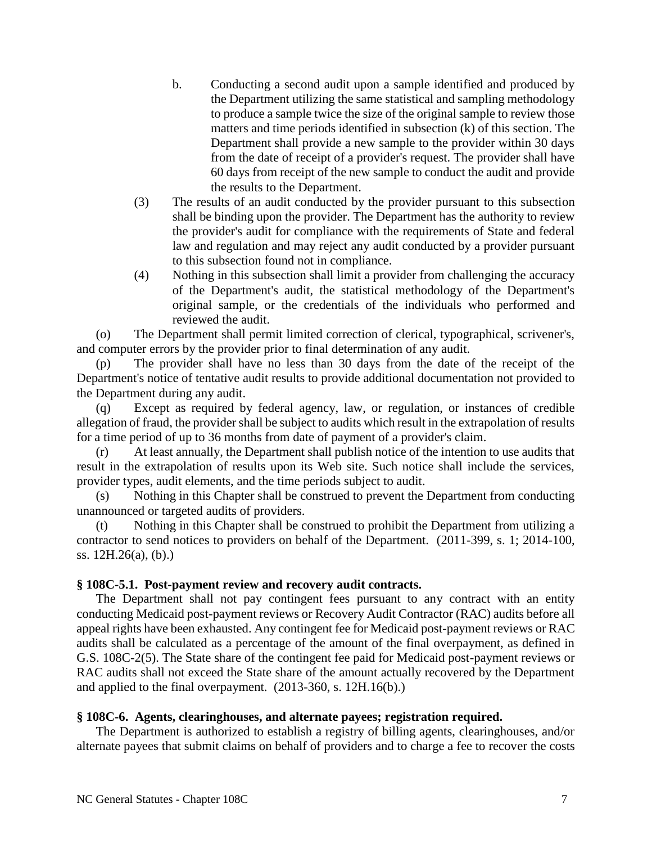- b. Conducting a second audit upon a sample identified and produced by the Department utilizing the same statistical and sampling methodology to produce a sample twice the size of the original sample to review those matters and time periods identified in subsection (k) of this section. The Department shall provide a new sample to the provider within 30 days from the date of receipt of a provider's request. The provider shall have 60 days from receipt of the new sample to conduct the audit and provide the results to the Department.
- (3) The results of an audit conducted by the provider pursuant to this subsection shall be binding upon the provider. The Department has the authority to review the provider's audit for compliance with the requirements of State and federal law and regulation and may reject any audit conducted by a provider pursuant to this subsection found not in compliance.
- (4) Nothing in this subsection shall limit a provider from challenging the accuracy of the Department's audit, the statistical methodology of the Department's original sample, or the credentials of the individuals who performed and reviewed the audit.

(o) The Department shall permit limited correction of clerical, typographical, scrivener's, and computer errors by the provider prior to final determination of any audit.

(p) The provider shall have no less than 30 days from the date of the receipt of the Department's notice of tentative audit results to provide additional documentation not provided to the Department during any audit.

(q) Except as required by federal agency, law, or regulation, or instances of credible allegation of fraud, the provider shall be subject to audits which result in the extrapolation of results for a time period of up to 36 months from date of payment of a provider's claim.

(r) At least annually, the Department shall publish notice of the intention to use audits that result in the extrapolation of results upon its Web site. Such notice shall include the services, provider types, audit elements, and the time periods subject to audit.

(s) Nothing in this Chapter shall be construed to prevent the Department from conducting unannounced or targeted audits of providers.

(t) Nothing in this Chapter shall be construed to prohibit the Department from utilizing a contractor to send notices to providers on behalf of the Department. (2011-399, s. 1; 2014-100, ss. 12H.26(a), (b).)

## **§ 108C-5.1. Post-payment review and recovery audit contracts.**

The Department shall not pay contingent fees pursuant to any contract with an entity conducting Medicaid post-payment reviews or Recovery Audit Contractor (RAC) audits before all appeal rights have been exhausted. Any contingent fee for Medicaid post-payment reviews or RAC audits shall be calculated as a percentage of the amount of the final overpayment, as defined in G.S. 108C-2(5). The State share of the contingent fee paid for Medicaid post-payment reviews or RAC audits shall not exceed the State share of the amount actually recovered by the Department and applied to the final overpayment. (2013-360, s. 12H.16(b).)

#### **§ 108C-6. Agents, clearinghouses, and alternate payees; registration required.**

The Department is authorized to establish a registry of billing agents, clearinghouses, and/or alternate payees that submit claims on behalf of providers and to charge a fee to recover the costs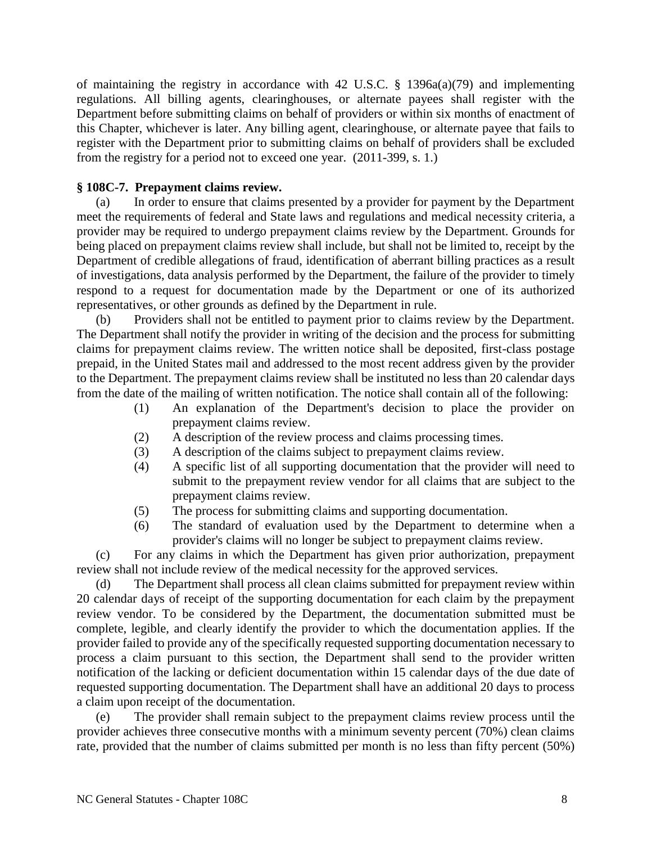of maintaining the registry in accordance with 42 U.S.C. § 1396a(a)(79) and implementing regulations. All billing agents, clearinghouses, or alternate payees shall register with the Department before submitting claims on behalf of providers or within six months of enactment of this Chapter, whichever is later. Any billing agent, clearinghouse, or alternate payee that fails to register with the Department prior to submitting claims on behalf of providers shall be excluded from the registry for a period not to exceed one year. (2011-399, s. 1.)

## **§ 108C-7. Prepayment claims review.**

(a) In order to ensure that claims presented by a provider for payment by the Department meet the requirements of federal and State laws and regulations and medical necessity criteria, a provider may be required to undergo prepayment claims review by the Department. Grounds for being placed on prepayment claims review shall include, but shall not be limited to, receipt by the Department of credible allegations of fraud, identification of aberrant billing practices as a result of investigations, data analysis performed by the Department, the failure of the provider to timely respond to a request for documentation made by the Department or one of its authorized representatives, or other grounds as defined by the Department in rule.

(b) Providers shall not be entitled to payment prior to claims review by the Department. The Department shall notify the provider in writing of the decision and the process for submitting claims for prepayment claims review. The written notice shall be deposited, first-class postage prepaid, in the United States mail and addressed to the most recent address given by the provider to the Department. The prepayment claims review shall be instituted no less than 20 calendar days from the date of the mailing of written notification. The notice shall contain all of the following:

- (1) An explanation of the Department's decision to place the provider on prepayment claims review.
- (2) A description of the review process and claims processing times.
- (3) A description of the claims subject to prepayment claims review.
- (4) A specific list of all supporting documentation that the provider will need to submit to the prepayment review vendor for all claims that are subject to the prepayment claims review.
- (5) The process for submitting claims and supporting documentation.
- (6) The standard of evaluation used by the Department to determine when a provider's claims will no longer be subject to prepayment claims review.

(c) For any claims in which the Department has given prior authorization, prepayment review shall not include review of the medical necessity for the approved services.

(d) The Department shall process all clean claims submitted for prepayment review within 20 calendar days of receipt of the supporting documentation for each claim by the prepayment review vendor. To be considered by the Department, the documentation submitted must be complete, legible, and clearly identify the provider to which the documentation applies. If the provider failed to provide any of the specifically requested supporting documentation necessary to process a claim pursuant to this section, the Department shall send to the provider written notification of the lacking or deficient documentation within 15 calendar days of the due date of requested supporting documentation. The Department shall have an additional 20 days to process a claim upon receipt of the documentation.

(e) The provider shall remain subject to the prepayment claims review process until the provider achieves three consecutive months with a minimum seventy percent (70%) clean claims rate, provided that the number of claims submitted per month is no less than fifty percent (50%)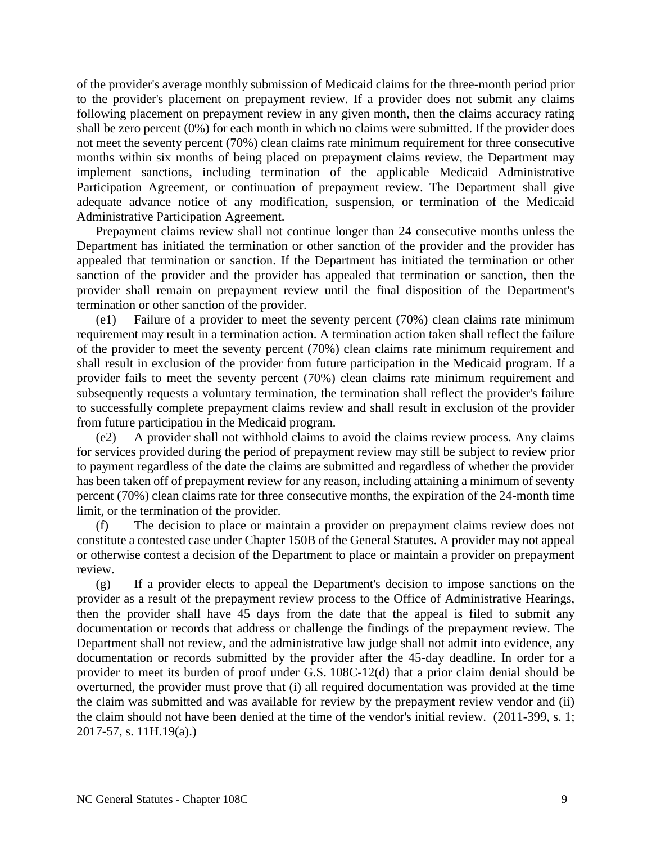of the provider's average monthly submission of Medicaid claims for the three-month period prior to the provider's placement on prepayment review. If a provider does not submit any claims following placement on prepayment review in any given month, then the claims accuracy rating shall be zero percent (0%) for each month in which no claims were submitted. If the provider does not meet the seventy percent (70%) clean claims rate minimum requirement for three consecutive months within six months of being placed on prepayment claims review, the Department may implement sanctions, including termination of the applicable Medicaid Administrative Participation Agreement, or continuation of prepayment review. The Department shall give adequate advance notice of any modification, suspension, or termination of the Medicaid Administrative Participation Agreement.

Prepayment claims review shall not continue longer than 24 consecutive months unless the Department has initiated the termination or other sanction of the provider and the provider has appealed that termination or sanction. If the Department has initiated the termination or other sanction of the provider and the provider has appealed that termination or sanction, then the provider shall remain on prepayment review until the final disposition of the Department's termination or other sanction of the provider.

(e1) Failure of a provider to meet the seventy percent (70%) clean claims rate minimum requirement may result in a termination action. A termination action taken shall reflect the failure of the provider to meet the seventy percent (70%) clean claims rate minimum requirement and shall result in exclusion of the provider from future participation in the Medicaid program. If a provider fails to meet the seventy percent (70%) clean claims rate minimum requirement and subsequently requests a voluntary termination, the termination shall reflect the provider's failure to successfully complete prepayment claims review and shall result in exclusion of the provider from future participation in the Medicaid program.

(e2) A provider shall not withhold claims to avoid the claims review process. Any claims for services provided during the period of prepayment review may still be subject to review prior to payment regardless of the date the claims are submitted and regardless of whether the provider has been taken off of prepayment review for any reason, including attaining a minimum of seventy percent (70%) clean claims rate for three consecutive months, the expiration of the 24-month time limit, or the termination of the provider.

(f) The decision to place or maintain a provider on prepayment claims review does not constitute a contested case under Chapter 150B of the General Statutes. A provider may not appeal or otherwise contest a decision of the Department to place or maintain a provider on prepayment review.

(g) If a provider elects to appeal the Department's decision to impose sanctions on the provider as a result of the prepayment review process to the Office of Administrative Hearings, then the provider shall have 45 days from the date that the appeal is filed to submit any documentation or records that address or challenge the findings of the prepayment review. The Department shall not review, and the administrative law judge shall not admit into evidence, any documentation or records submitted by the provider after the 45-day deadline. In order for a provider to meet its burden of proof under G.S. 108C-12(d) that a prior claim denial should be overturned, the provider must prove that (i) all required documentation was provided at the time the claim was submitted and was available for review by the prepayment review vendor and (ii) the claim should not have been denied at the time of the vendor's initial review. (2011-399, s. 1; 2017-57, s. 11H.19(a).)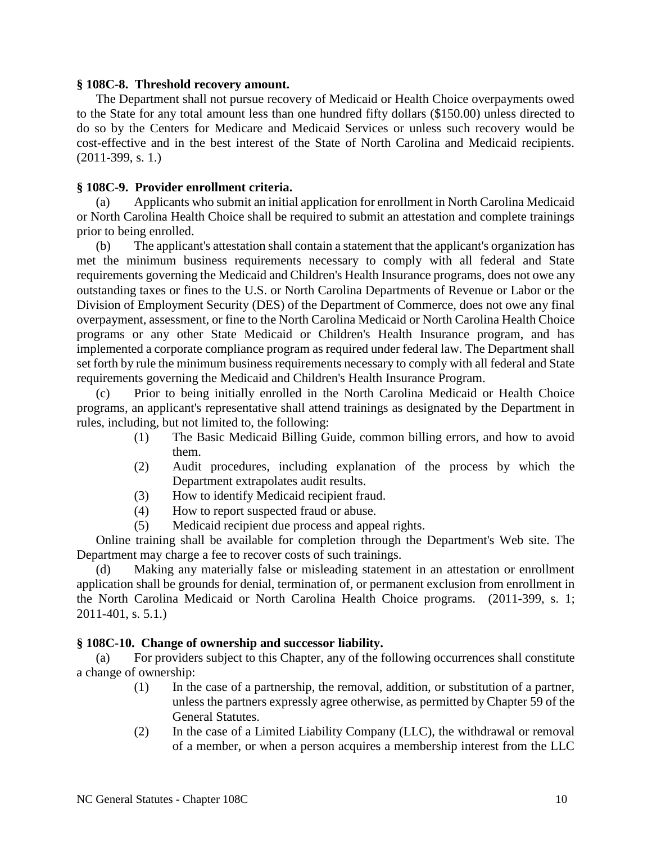#### **§ 108C-8. Threshold recovery amount.**

The Department shall not pursue recovery of Medicaid or Health Choice overpayments owed to the State for any total amount less than one hundred fifty dollars (\$150.00) unless directed to do so by the Centers for Medicare and Medicaid Services or unless such recovery would be cost-effective and in the best interest of the State of North Carolina and Medicaid recipients. (2011-399, s. 1.)

## **§ 108C-9. Provider enrollment criteria.**

(a) Applicants who submit an initial application for enrollment in North Carolina Medicaid or North Carolina Health Choice shall be required to submit an attestation and complete trainings prior to being enrolled.

(b) The applicant's attestation shall contain a statement that the applicant's organization has met the minimum business requirements necessary to comply with all federal and State requirements governing the Medicaid and Children's Health Insurance programs, does not owe any outstanding taxes or fines to the U.S. or North Carolina Departments of Revenue or Labor or the Division of Employment Security (DES) of the Department of Commerce, does not owe any final overpayment, assessment, or fine to the North Carolina Medicaid or North Carolina Health Choice programs or any other State Medicaid or Children's Health Insurance program, and has implemented a corporate compliance program as required under federal law. The Department shall set forth by rule the minimum business requirements necessary to comply with all federal and State requirements governing the Medicaid and Children's Health Insurance Program.

(c) Prior to being initially enrolled in the North Carolina Medicaid or Health Choice programs, an applicant's representative shall attend trainings as designated by the Department in rules, including, but not limited to, the following:

- (1) The Basic Medicaid Billing Guide, common billing errors, and how to avoid them.
- (2) Audit procedures, including explanation of the process by which the Department extrapolates audit results.
- (3) How to identify Medicaid recipient fraud.
- (4) How to report suspected fraud or abuse.
- (5) Medicaid recipient due process and appeal rights.

Online training shall be available for completion through the Department's Web site. The Department may charge a fee to recover costs of such trainings.

(d) Making any materially false or misleading statement in an attestation or enrollment application shall be grounds for denial, termination of, or permanent exclusion from enrollment in the North Carolina Medicaid or North Carolina Health Choice programs. (2011-399, s. 1; 2011-401, s. 5.1.)

## **§ 108C-10. Change of ownership and successor liability.**

(a) For providers subject to this Chapter, any of the following occurrences shall constitute a change of ownership:

- (1) In the case of a partnership, the removal, addition, or substitution of a partner, unless the partners expressly agree otherwise, as permitted by Chapter 59 of the General Statutes.
- (2) In the case of a Limited Liability Company (LLC), the withdrawal or removal of a member, or when a person acquires a membership interest from the LLC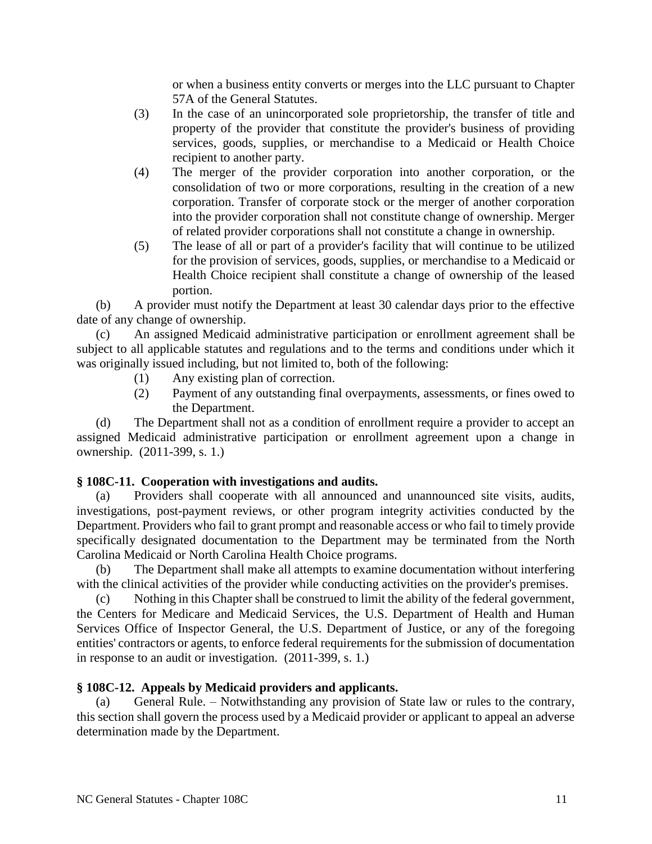or when a business entity converts or merges into the LLC pursuant to Chapter 57A of the General Statutes.

- (3) In the case of an unincorporated sole proprietorship, the transfer of title and property of the provider that constitute the provider's business of providing services, goods, supplies, or merchandise to a Medicaid or Health Choice recipient to another party.
- (4) The merger of the provider corporation into another corporation, or the consolidation of two or more corporations, resulting in the creation of a new corporation. Transfer of corporate stock or the merger of another corporation into the provider corporation shall not constitute change of ownership. Merger of related provider corporations shall not constitute a change in ownership.
- (5) The lease of all or part of a provider's facility that will continue to be utilized for the provision of services, goods, supplies, or merchandise to a Medicaid or Health Choice recipient shall constitute a change of ownership of the leased portion.

(b) A provider must notify the Department at least 30 calendar days prior to the effective date of any change of ownership.

(c) An assigned Medicaid administrative participation or enrollment agreement shall be subject to all applicable statutes and regulations and to the terms and conditions under which it was originally issued including, but not limited to, both of the following:

- (1) Any existing plan of correction.
- (2) Payment of any outstanding final overpayments, assessments, or fines owed to the Department.

(d) The Department shall not as a condition of enrollment require a provider to accept an assigned Medicaid administrative participation or enrollment agreement upon a change in ownership. (2011-399, s. 1.)

# **§ 108C-11. Cooperation with investigations and audits.**

(a) Providers shall cooperate with all announced and unannounced site visits, audits, investigations, post-payment reviews, or other program integrity activities conducted by the Department. Providers who fail to grant prompt and reasonable access or who fail to timely provide specifically designated documentation to the Department may be terminated from the North Carolina Medicaid or North Carolina Health Choice programs.

(b) The Department shall make all attempts to examine documentation without interfering with the clinical activities of the provider while conducting activities on the provider's premises.

(c) Nothing in this Chapter shall be construed to limit the ability of the federal government, the Centers for Medicare and Medicaid Services, the U.S. Department of Health and Human Services Office of Inspector General, the U.S. Department of Justice, or any of the foregoing entities' contractors or agents, to enforce federal requirements for the submission of documentation in response to an audit or investigation. (2011-399, s. 1.)

# **§ 108C-12. Appeals by Medicaid providers and applicants.**

(a) General Rule. – Notwithstanding any provision of State law or rules to the contrary, this section shall govern the process used by a Medicaid provider or applicant to appeal an adverse determination made by the Department.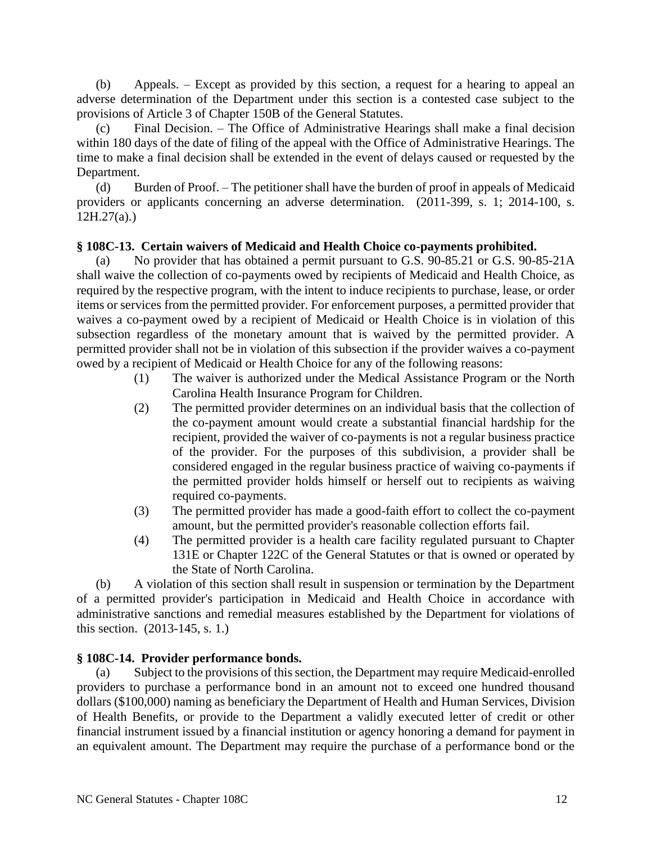(b) Appeals. – Except as provided by this section, a request for a hearing to appeal an adverse determination of the Department under this section is a contested case subject to the provisions of Article 3 of Chapter 150B of the General Statutes.

(c) Final Decision. – The Office of Administrative Hearings shall make a final decision within 180 days of the date of filing of the appeal with the Office of Administrative Hearings. The time to make a final decision shall be extended in the event of delays caused or requested by the Department.

(d) Burden of Proof. – The petitioner shall have the burden of proof in appeals of Medicaid providers or applicants concerning an adverse determination. (2011-399, s. 1; 2014-100, s.  $12H.27(a)$ .)

# **§ 108C-13. Certain waivers of Medicaid and Health Choice co-payments prohibited.**

(a) No provider that has obtained a permit pursuant to G.S. 90-85.21 or G.S. 90-85-21A shall waive the collection of co-payments owed by recipients of Medicaid and Health Choice, as required by the respective program, with the intent to induce recipients to purchase, lease, or order items or services from the permitted provider. For enforcement purposes, a permitted provider that waives a co-payment owed by a recipient of Medicaid or Health Choice is in violation of this subsection regardless of the monetary amount that is waived by the permitted provider. A permitted provider shall not be in violation of this subsection if the provider waives a co-payment owed by a recipient of Medicaid or Health Choice for any of the following reasons:

- (1) The waiver is authorized under the Medical Assistance Program or the North Carolina Health Insurance Program for Children.
- (2) The permitted provider determines on an individual basis that the collection of the co-payment amount would create a substantial financial hardship for the recipient, provided the waiver of co-payments is not a regular business practice of the provider. For the purposes of this subdivision, a provider shall be considered engaged in the regular business practice of waiving co-payments if the permitted provider holds himself or herself out to recipients as waiving required co-payments.
- (3) The permitted provider has made a good-faith effort to collect the co-payment amount, but the permitted provider's reasonable collection efforts fail.
- (4) The permitted provider is a health care facility regulated pursuant to Chapter 131E or Chapter 122C of the General Statutes or that is owned or operated by the State of North Carolina.

(b) A violation of this section shall result in suspension or termination by the Department of a permitted provider's participation in Medicaid and Health Choice in accordance with administrative sanctions and remedial measures established by the Department for violations of this section. (2013-145, s. 1.)

## **§ 108C-14. Provider performance bonds.**

(a) Subject to the provisions of this section, the Department may require Medicaid-enrolled providers to purchase a performance bond in an amount not to exceed one hundred thousand dollars (\$100,000) naming as beneficiary the Department of Health and Human Services, Division of Health Benefits, or provide to the Department a validly executed letter of credit or other financial instrument issued by a financial institution or agency honoring a demand for payment in an equivalent amount. The Department may require the purchase of a performance bond or the